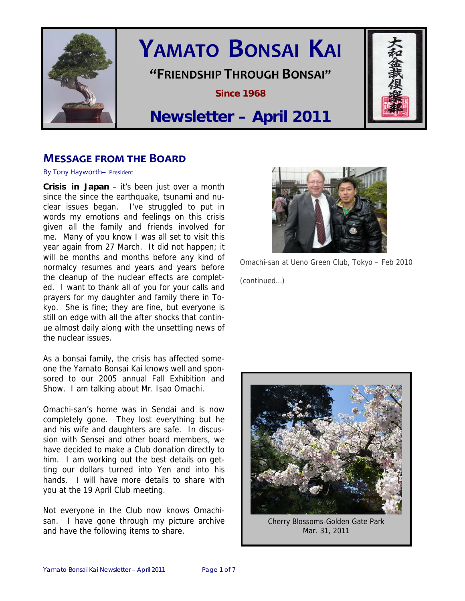

# **YAMATO BONSAI KAI**

## **"FRIENDSHIP THROUGH BONSAI"**

**Since 1968** 

## **Newsletter – April 2011**

## **MESSAGE FROM THE BOARD**

By Tony Hayworth– President

**Crisis in Japan** – it's been just over a month since the since the earthquake, tsunami and nuclear issues began. I've struggled to put in words my emotions and feelings on this crisis given all the family and friends involved for me. Many of you know I was all set to visit this year again from 27 March. It did not happen; it will be months and months before any kind of normalcy resumes and years and years before the cleanup of the nuclear effects are completed. I want to thank all of you for your calls and prayers for my daughter and family there in Tokyo. She is fine; they are fine, but everyone is still on edge with all the after shocks that continue almost daily along with the unsettling news of the nuclear issues.

As a bonsai family, the crisis has affected someone the Yamato Bonsai Kai knows well and sponsored to our 2005 annual Fall Exhibition and Show. I am talking about Mr. Isao Omachi.

Omachi-san's home was in Sendai and is now completely gone. They lost everything but he and his wife and daughters are safe. In discussion with Sensei and other board members, we have decided to make a Club donation directly to him. I am working out the best details on getting our dollars turned into Yen and into his hands. I will have more details to share with you at the 19 April Club meeting.

Not everyone in the Club now knows Omachisan. I have gone through my picture archive and have the following items to share.



Omachi-san at Ueno Green Club, Tokyo – Feb 2010 (continued…)



Cherry Blossoms-Golden Gate Park Mar. 31, 2011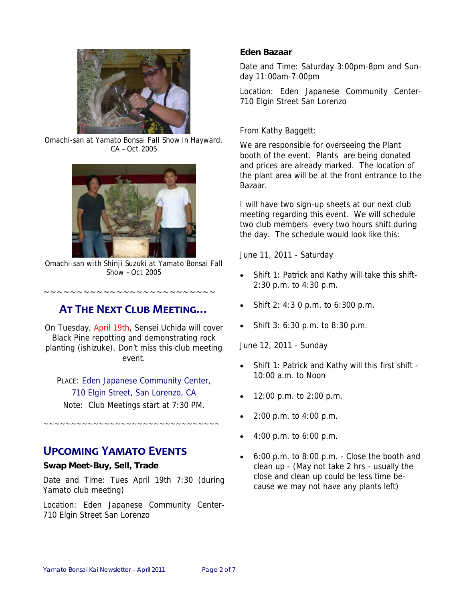

Omachi-san at Yamato Bonsai Fall Show in Hayward, CA – Oct 2005



Omachi-san with Shinji Suzuki at Yamato Bonsai Fall Show – Oct 2005

## **AT THE NEXT CLUB MEETING…**

~~~~~~~~~~~~~~~~~~~~~~~~~~

On Tuesday, April 19th, Sensei Uchida will cover Black Pine repotting and demonstrating rock planting (ishizuke). Don't miss this club meeting event.

PLACE: Eden Japanese Community Center, 710 Elgin Street, San Lorenzo, CA Note: Club Meetings start at 7:30 PM.

~~~~~~~~~~~~~~~~~~~~~~~~~~~~~~~~

## **UPCOMING YAMATO EVENTS**

#### **Swap Meet-Buy, Sell, Trade**

Date and Time: Tues April 19th 7:30 (during Yamato club meeting)

Location: Eden Japanese Community Center-710 Elgin Street San Lorenzo

#### **Eden Bazaar**

Date and Time: Saturday 3:00pm-8pm and Sunday 11:00am-7:00pm

Location: Eden Japanese Community Center-710 Elgin Street San Lorenzo

#### From Kathy Baggett:

We are responsible for overseeing the Plant booth of the event. Plants are being donated and prices are already marked. The location of the plant area will be at the front entrance to the Bazaar.

I will have two sign-up sheets at our next club meeting regarding this event. We will schedule two club members every two hours shift during the day. The schedule would look like this:

June 11, 2011 - Saturday

- Shift 1: Patrick and Kathy will take this shift-2:30 p.m. to 4:30 p.m.
- Shift 2: 4:3 0 p.m. to 6:300 p.m.
- Shift 3: 6:30 p.m. to 8:30 p.m.

June 12, 2011 - Sunday

- Shift 1: Patrick and Kathy will this first shift 10:00 a.m. to Noon
- 12:00 p.m. to 2:00 p.m.
- 2:00 p.m. to 4:00 p.m.
- 4:00 p.m. to 6:00 p.m.
- 6:00 p.m. to 8:00 p.m. Close the booth and clean up - (May not take 2 hrs - usually the close and clean up could be less time because we may not have any plants left)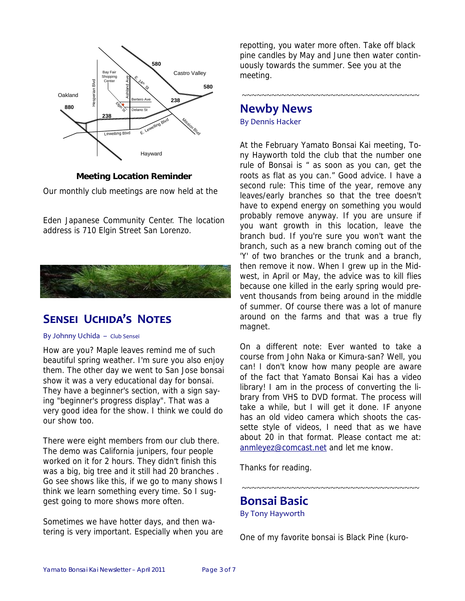

#### **Meeting Location Reminder**

Our monthly club meetings are now held at the

Eden Japanese Community Center. The location address is 710 Elgin Street San Lorenzo.



## **SENSEI UCHIDA'S NOTES**

#### By Johnny Uchida – Club Sensei

How are you? Maple leaves remind me of such beautiful spring weather. I'm sure you also enjoy them. The other day we went to San Jose bonsai show it was a very educational day for bonsai. They have a beginner's section, with a sign saying "beginner's progress display". That was a very good idea for the show. I think we could do our show too.

There were eight members from our club there. The demo was California junipers, four people worked on it for 2 hours. They didn't finish this was a big, big tree and it still had 20 branches . Go see shows like this, if we go to many shows I think we learn something every time. So I suggest going to more shows more often.

Sometimes we have hotter days, and then watering is very important. Especially when you are repotting, you water more often. Take off black pine candles by May and June then water continuously towards the summer. See you at the meeting.

~~~~~~~~~~~~~~~~~~~~~~~~~~~~~~~~~~~~~

## **Newby News**

By Dennis Hacker

At the February Yamato Bonsai Kai meeting, Tony Hayworth told the club that the number one rule of Bonsai is " as soon as you can, get the roots as flat as you can." Good advice. I have a second rule: This time of the year, remove any leaves/early branches so that the tree doesn't have to expend energy on something you would probably remove anyway. If you are unsure if you want growth in this location, leave the branch bud. If you're sure you won't want the branch, such as a new branch coming out of the 'Y' of two branches or the trunk and a branch, then remove it now. When I grew up in the Midwest, in April or May, the advice was to kill flies because one killed in the early spring would prevent thousands from being around in the middle of summer. Of course there was a lot of manure around on the farms and that was a true fly magnet.

On a different note: Ever wanted to take a course from John Naka or Kimura-san? Well, you can! I don't know how many people are aware of the fact that Yamato Bonsai Kai has a video library! I am in the process of converting the library from VHS to DVD format. The process will take a while, but I will get it done. IF anyone has an old video camera which shoots the cassette style of videos, I need that as we have about 20 in that format. Please contact me at: anmleyez@comcast.net and let me know.

Thanks for reading.

**Bonsai Basic** 

By Tony Hayworth

One of my favorite bonsai is Black Pine (kuro-

~~~~~~~~~~~~~~~~~~~~~~~~~~~~~~~~~~~~~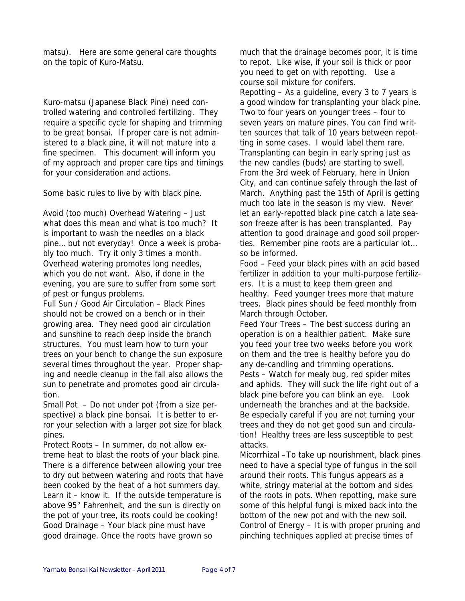matsu). Here are some general care thoughts on the topic of Kuro-Matsu.

Kuro-matsu (Japanese Black Pine) need controlled watering and controlled fertilizing. They require a specific cycle for shaping and trimming to be great bonsai. If proper care is not administered to a black pine, it will not mature into a fine specimen. This document will inform you of my approach and proper care tips and timings for your consideration and actions.

Some basic rules to live by with black pine.

Avoid (too much) Overhead Watering – Just what does this mean and what is too much? It is important to wash the needles on a black pine… but not everyday! Once a week is probably too much. Try it only 3 times a month. Overhead watering promotes long needles, which you do not want. Also, if done in the evening, you are sure to suffer from some sort of pest or fungus problems.

Full Sun / Good Air Circulation – Black Pines should not be crowed on a bench or in their growing area. They need good air circulation and sunshine to reach deep inside the branch structures. You must learn how to turn your trees on your bench to change the sun exposure several times throughout the year. Proper shaping and needle cleanup in the fall also allows the sun to penetrate and promotes good air circulation.

Small Pot – Do not under pot (from a size perspective) a black pine bonsai. It is better to error your selection with a larger pot size for black pines.

Protect Roots – In summer, do not allow extreme heat to blast the roots of your black pine. There is a difference between allowing your tree to dry out between watering and roots that have been cooked by the heat of a hot summers day. Learn it – know it. If the outside temperature is above 95° Fahrenheit, and the sun is directly on the pot of your tree, its roots could be cooking! Good Drainage – Your black pine must have good drainage. Once the roots have grown so

much that the drainage becomes poor, it is time to repot. Like wise, if your soil is thick or poor you need to get on with repotting. Use a course soil mixture for conifers. Repotting – As a guideline, every 3 to 7 years is a good window for transplanting your black pine. Two to four years on younger trees – four to seven years on mature pines. You can find written sources that talk of 10 years between repotting in some cases. I would label them rare. Transplanting can begin in early spring just as the new candles (buds) are starting to swell. From the 3rd week of February, here in Union City, and can continue safely through the last of March. Anything past the 15th of April is getting much too late in the season is my view. Never let an early-repotted black pine catch a late season freeze after is has been transplanted. Pay attention to good drainage and good soil properties. Remember pine roots are a particular lot… so be informed.

Food – Feed your black pines with an acid based fertilizer in addition to your multi-purpose fertilizers. It is a must to keep them green and healthy. Feed younger trees more that mature trees. Black pines should be feed monthly from March through October.

Feed Your Trees – The best success during an operation is on a healthier patient. Make sure you feed your tree two weeks before you work on them and the tree is healthy before you do any de-candling and trimming operations. Pests – Watch for mealy bug, red spider mites and aphids. They will suck the life right out of a black pine before you can blink an eye. Look underneath the branches and at the backside. Be especially careful if you are not turning your trees and they do not get good sun and circulation! Healthy trees are less susceptible to pest attacks.

Micorrhizal –To take up nourishment, black pines need to have a special type of fungus in the soil around their roots. This fungus appears as a white, stringy material at the bottom and sides of the roots in pots. When repotting, make sure some of this helpful fungi is mixed back into the bottom of the new pot and with the new soil. Control of Energy – It is with proper pruning and pinching techniques applied at precise times of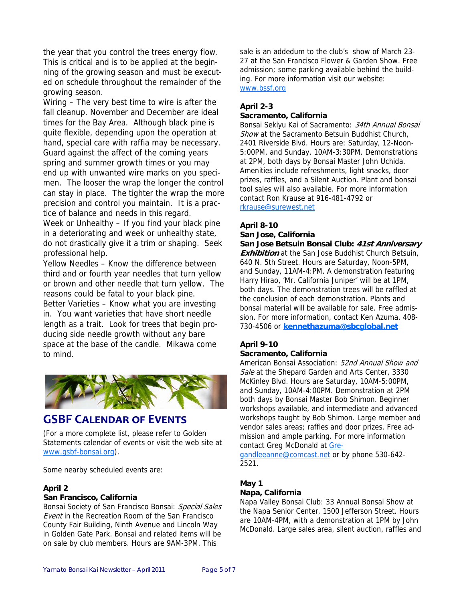the year that you control the trees energy flow. This is critical and is to be applied at the beginning of the growing season and must be executed on schedule throughout the remainder of the growing season.

Wiring – The very best time to wire is after the fall cleanup. November and December are ideal times for the Bay Area. Although black pine is quite flexible, depending upon the operation at hand, special care with raffia may be necessary. Guard against the affect of the coming years spring and summer growth times or you may end up with unwanted wire marks on you specimen. The looser the wrap the longer the control can stay in place. The tighter the wrap the more precision and control you maintain. It is a practice of balance and needs in this regard. Week or Unhealthy – If you find your black pine in a deteriorating and week or unhealthy state, do not drastically give it a trim or shaping. Seek

professional help. Yellow Needles – Know the difference between third and or fourth year needles that turn yellow or brown and other needle that turn yellow. The reasons could be fatal to your black pine. Better Varieties – Know what you are investing in. You want varieties that have short needle length as a trait. Look for trees that begin producing side needle growth without any bare space at the base of the candle. Mikawa come to mind.



### **GSBF CALENDAR OF EVENTS**

(For a more complete list, please refer to Golden Statements calendar of events or visit the web site at www.gsbf-bonsai.org).

Some nearby scheduled events are:

#### **April 2**

#### **San Francisco, California**

Bonsai Society of San Francisco Bonsai: Special Sales Event in the Recreation Room of the San Francisco County Fair Building, Ninth Avenue and Lincoln Way in Golden Gate Park. Bonsai and related items will be on sale by club members. Hours are 9AM-3PM. This

sale is an addedum to the club's show of March 23- 27 at the San Francisco Flower & Garden Show. Free admission; some parking available behind the building. For more information visit our website: www.bssf.org

#### **April 2-3**

#### **Sacramento, California**

Bonsai Sekiyu Kai of Sacramento: 34th Annual Bonsai Show at the Sacramento Betsuin Buddhist Church, 2401 Riverside Blvd. Hours are: Saturday, 12-Noon-5:00PM, and Sunday, 10AM-3:30PM. Demonstrations at 2PM, both days by Bonsai Master John Uchida. Amenities include refreshments, light snacks, door prizes, raffles, and a Silent Auction. Plant and bonsai tool sales will also available. For more information contact Ron Krause at 916-481-4792 or rkrause@surewest.net

#### **April 8-10**

#### **San Jose, California**

**San Jose Betsuin Bonsai Club: 41st Anniversary Exhibition** at the San Jose Buddhist Church Betsuin, 640 N. 5th Street. Hours are Saturday, Noon-5PM, and Sunday, 11AM-4:PM. A demonstration featuring Harry Hirao, 'Mr. California Juniper' will be at 1PM, both days. The demonstration trees will be raffled at the conclusion of each demonstration. Plants and bonsai material will be available for sale. Free admission. For more information, contact Ken Azuma, 408- 730-4506 or **kennethazuma@sbcglobal.net**

#### **April 9-10**

#### **Sacramento, California**

American Bonsai Association: 52nd Annual Show and Sale at the Shepard Garden and Arts Center, 3330 McKinley Blvd. Hours are Saturday, 10AM-5:00PM, and Sunday, 10AM-4:00PM. Demonstration at 2PM both days by Bonsai Master Bob Shimon. Beginner workshops available, and intermediate and advanced workshops taught by Bob Shimon. Large member and vendor sales areas; raffles and door prizes. Free admission and ample parking. For more information contact Greg McDonald at Gre-

gandleeanne@comcast.net or by phone 530-642- 2521.

#### **May 1 Napa, California**

Napa Valley Bonsai Club: 33 Annual Bonsai Show at the Napa Senior Center, 1500 Jefferson Street. Hours are 10AM-4PM, with a demonstration at 1PM by John McDonald. Large sales area, silent auction, raffles and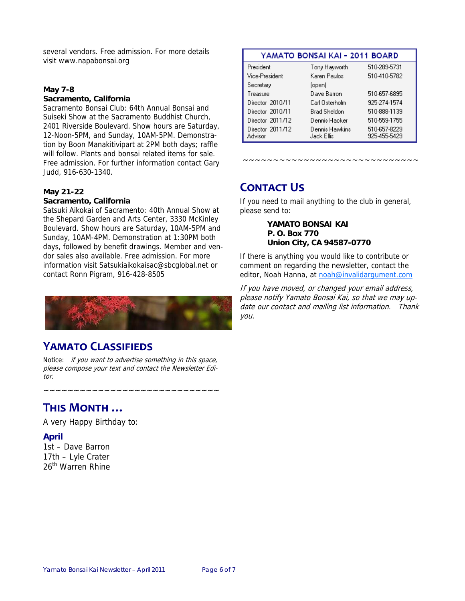several vendors. Free admission. For more details visit www.napabonsai.org

#### **May 7-8**

#### **Sacramento, California**

Sacramento Bonsai Club: 64th Annual Bonsai and Suiseki Show at the Sacramento Buddhist Church, 2401 Riverside Boulevard. Show hours are Saturday, 12-Noon-5PM, and Sunday, 10AM-5PM. Demonstration by Boon Manakitivipart at 2PM both days; raffle will follow. Plants and bonsai related items for sale. Free admission. For further information contact Gary Judd, 916-630-1340.

#### **May 21-22**

#### **Sacramento, California**

Satsuki Aikokai of Sacramento: 40th Annual Show at the Shepard Garden and Arts Center, 3330 McKinley Boulevard. Show hours are Saturday, 10AM-5PM and Sunday, 10AM-4PM. Demonstration at 1:30PM both days, followed by benefit drawings. Member and vendor sales also available. Free admission. For more information visit Satsukiaikokaisac@sbcglobal.net or contact Ronn Pigram, 916-428-8505



## **YAMATO CLASSIFIEDS**

Notice: if you want to advertise something in this space, please compose your text and contact the Newsletter Editor.

~~~~~~~~~~~~~~~~~~~~~~~~~~~~~

## **THIS MONTH …**

A very Happy Birthday to:

#### **April**

1st – Dave Barron 17th – Lyle Crater 26<sup>th</sup> Warren Rhine

#### YAMATO BONSAI KAI - 2011 BOARD

| President                   | Tony Hayworth                | 510-289-5731                 |
|-----------------------------|------------------------------|------------------------------|
| Vice-President              | Karen Paulos                 | 510-410-5782                 |
| Secretary                   | (open)                       |                              |
| Treasure                    | Dave Barron                  | 510-657-6895                 |
| Director 2010/11            | Carl Osterholm               | 925-274-1574                 |
| Director 2010/11            | Brad Sheldon                 | 510-888-1139                 |
| Director 2011/12            | Dennis Hacker                | 510-559-1755                 |
| Director 2011/12<br>Advisor | Dennis Hawkins<br>Jack Ellis | 510-657-8229<br>925-455-5429 |

~~~~~~~~~~~~~~~~~~~~~~~~~~~~~

## **CONTACT US**

If you need to mail anything to the club in general, please send to:

> **YAMATO BONSAI KAI P. O. Box 770 Union City, CA 94587-0770**

If there is anything you would like to contribute or comment on regarding the newsletter, contact the editor, Noah Hanna, at noah@invalidargument.com

If you have moved, or changed your email address, please notify Yamato Bonsai Kai, so that we may update our contact and mailing list information. Thank you.